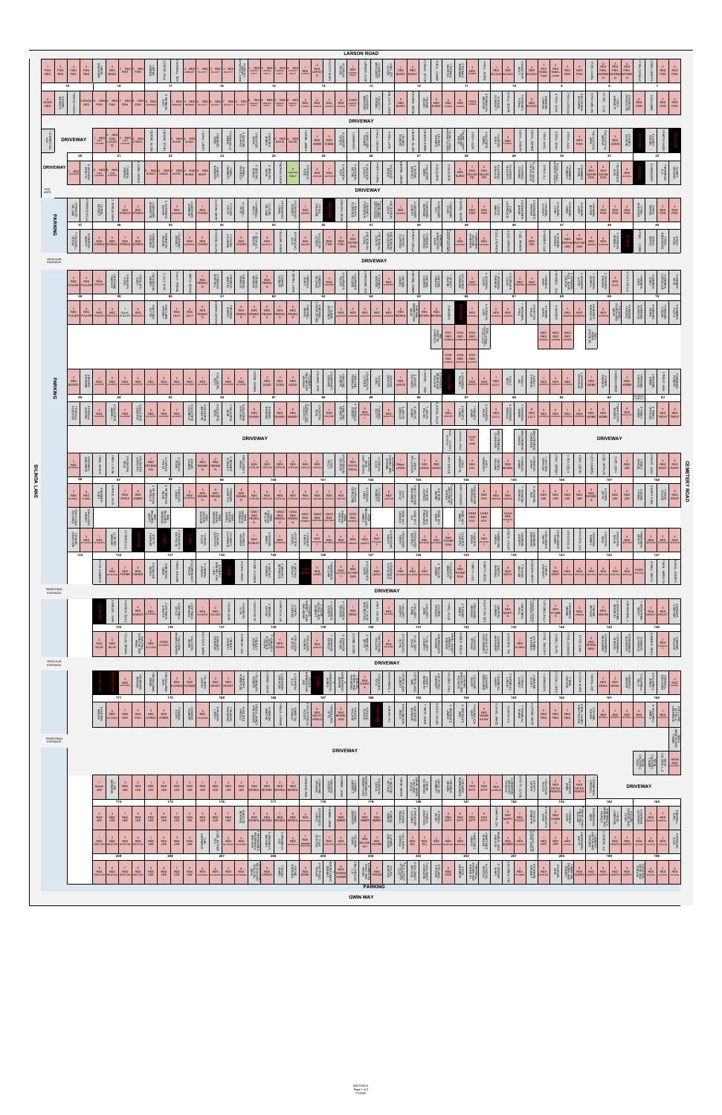**CEMETERY ROAD**



| LEE                        | LEE LEE | LEE | LEE        |     |     | LEE LEE LEE LEE |         | LEE       | LEE             |                            |                    |     | <b>ARE MONEL MONEIL MONEIL MONEIL ERRINGER</b> |       |             | SIMMS | <b>SIMMS</b>    |                |    |     |                    | ರಂ witt   witt   witt | WITT F |    | FOLE <sup>®</sup> |              |     |               |                      |               |                      |                                     |               |                                |
|----------------------------|---------|-----|------------|-----|-----|-----------------|---------|-----------|-----------------|----------------------------|--------------------|-----|------------------------------------------------|-------|-------------|-------|-----------------|----------------|----|-----|--------------------|-----------------------|--------|----|-------------------|--------------|-----|---------------|----------------------|---------------|----------------------|-------------------------------------|---------------|--------------------------------|
| RHOTON RHOTON RHOTON RHOTO |         |     | <b>KES</b> | LEE | LEE | LEE             |         | $\approx$ | <b>DETERSIN</b> |                            | ≶≩;                | 鱼   |                                                | RHOTO | $22$ RHOTON |       |                 |                | 20 | WU  | WU<br><b>HRKMA</b> |                       |        | c. |                   | OPP          | OPP | <b>JACKSO</b> | 17일<br>$rac{25}{92}$ | <b>USSERY</b> |                      | USSERY WATSON                       | <b>WATSON</b> | <b>WATSON</b>                  |
|                            | 209     |     |            | 208 |     |                 |         | 207       |                 |                            |                    | 206 |                                                |       | 205         |       |                 | 204            |    | 203 |                    | 202                   |        |    | 201               |              | 200 |               |                      | 199           |                      |                                     | 198           |                                |
| RES RES RES RES RES        |         |     | LEE        | LEE | LEE | LEE             | PETERSE |           |                 | PETERSEN PETERSEN PETERSEN | $z_{\geq 2}$ LEMON |     |                                                |       |             |       |                 |                |    |     |                    |                       |        |    | <b>RE</b>         | <b>FCKLE</b> |     | 작동용 이         | SSERY USSERY         |               | <b>USSERY USSERY</b> | $\left  \frac{1}{2} \right $ warson |               | <b>WATSON</b><br><b>WATROL</b> |
|                            |         |     |            |     |     |                 |         |           |                 |                            |                    |     |                                                |       |             |       |                 | <b>PARKING</b> |    |     |                    |                       |        |    |                   |              |     |               |                      |               |                      |                                     |               |                                |
|                            |         |     |            |     |     |                 |         |           |                 |                            |                    |     |                                                |       |             |       | <b>GWIN WAY</b> |                |    |     |                    |                       |        |    |                   |              |     |               |                      |               |                      |                                     |               |                                |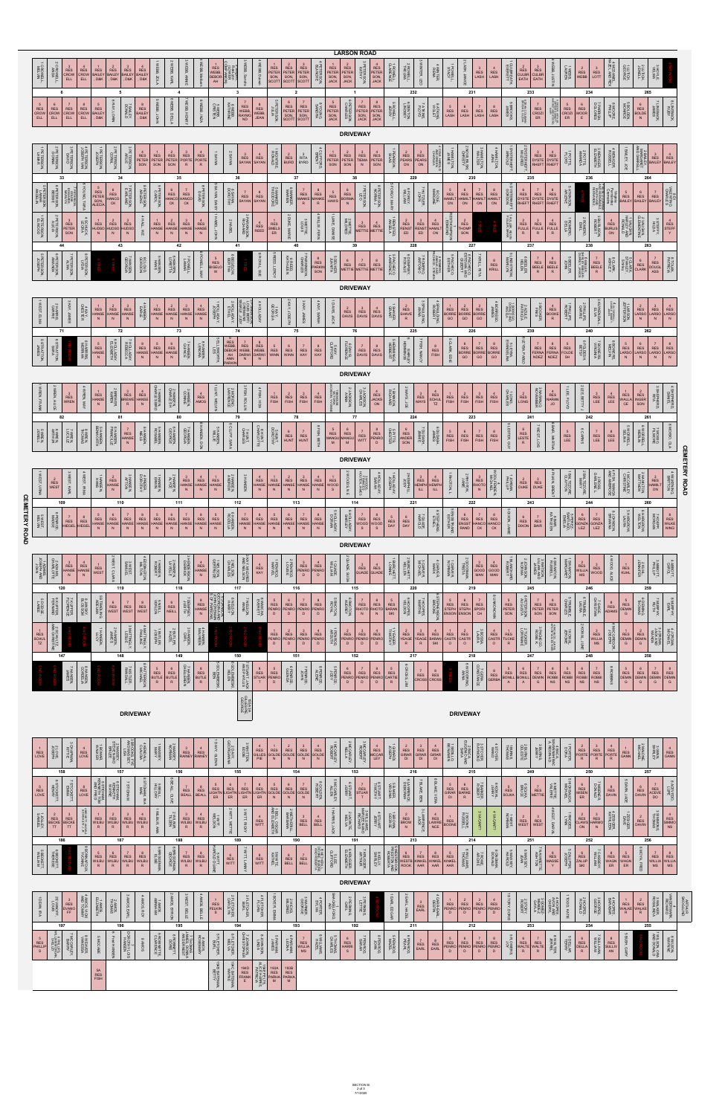|                      |                                                                                                                                                                                                                                                                                                                                                                                                                                                                                                                                                                                                                                                                                                                                                                                                                                                                                                                                                              |                                                                             |                                                                                     |                                                                     |                                                                                         |                                                                                    |                                                                                                                            |                                                                                     |                                                                              |                                                                            |                                 |                                                                                                                         |                                                                            |                                                                                                                                                                                                                                         |                                                                                                                                                                      |                                                                                                  |                                                                            |                                                                                                                                       |                                                                                                                                                                              |                                                                                     |                                                                                                                                                                     |                                                                                           | <b>LARSON ROAD</b>                                                                                                                                           |                                                                                     |                                                                             |                                                                                                        |                                                                                                                                             |                                                                                    |                                                                                                          |                                                                                           |                                                                                                                                                                         |                                                                                    |                                                                            |                                                                                                                                                 |                                                                                    |                                                                               |                                                                                                                                              |                                                                                     |                                                                      |                                                                             |                                                                                                                                       |                                                                                   |                   |
|----------------------|--------------------------------------------------------------------------------------------------------------------------------------------------------------------------------------------------------------------------------------------------------------------------------------------------------------------------------------------------------------------------------------------------------------------------------------------------------------------------------------------------------------------------------------------------------------------------------------------------------------------------------------------------------------------------------------------------------------------------------------------------------------------------------------------------------------------------------------------------------------------------------------------------------------------------------------------------------------|-----------------------------------------------------------------------------|-------------------------------------------------------------------------------------|---------------------------------------------------------------------|-----------------------------------------------------------------------------------------|------------------------------------------------------------------------------------|----------------------------------------------------------------------------------------------------------------------------|-------------------------------------------------------------------------------------|------------------------------------------------------------------------------|----------------------------------------------------------------------------|---------------------------------|-------------------------------------------------------------------------------------------------------------------------|----------------------------------------------------------------------------|-----------------------------------------------------------------------------------------------------------------------------------------------------------------------------------------------------------------------------------------|----------------------------------------------------------------------------------------------------------------------------------------------------------------------|--------------------------------------------------------------------------------------------------|----------------------------------------------------------------------------|---------------------------------------------------------------------------------------------------------------------------------------|------------------------------------------------------------------------------------------------------------------------------------------------------------------------------|-------------------------------------------------------------------------------------|---------------------------------------------------------------------------------------------------------------------------------------------------------------------|-------------------------------------------------------------------------------------------|--------------------------------------------------------------------------------------------------------------------------------------------------------------|-------------------------------------------------------------------------------------|-----------------------------------------------------------------------------|--------------------------------------------------------------------------------------------------------|---------------------------------------------------------------------------------------------------------------------------------------------|------------------------------------------------------------------------------------|----------------------------------------------------------------------------------------------------------|-------------------------------------------------------------------------------------------|-------------------------------------------------------------------------------------------------------------------------------------------------------------------------|------------------------------------------------------------------------------------|----------------------------------------------------------------------------|-------------------------------------------------------------------------------------------------------------------------------------------------|------------------------------------------------------------------------------------|-------------------------------------------------------------------------------|----------------------------------------------------------------------------------------------------------------------------------------------|-------------------------------------------------------------------------------------|----------------------------------------------------------------------|-----------------------------------------------------------------------------|---------------------------------------------------------------------------------------------------------------------------------------|-----------------------------------------------------------------------------------|-------------------|
|                      | CROWELL.<br>MELVIN                                                                                                                                                                                                                                                                                                                                                                                                                                                                                                                                                                                                                                                                                                                                                                                                                                                                                                                                           | : CROWELL,<br>ANDA<br>6                                                     | $RES\nCROW\nELL$                                                                    | $RES\nCROW\nELL\n$                                                  | 1<br>RES<br>BAILEY<br>, D&K                                                             | 2<br>RES<br>BAILEY<br>, D&K                                                        | 3<br>RES<br>BAILEY<br>, D&K                                                                                                | $RESBALEY, D&K$                                                                     | WEBB, ZOLA                                                                   | WEBB, KARL                                                                 | WEBB, ANNIE                     | /EBB, Me                                                                                                                | RES<br>WEBB,<br>DEBOR<br>AH                                                | z əargem.<br>Raelynn<br>Raelynn<br>OMPANION'<br>$\overline{\mathbf{3}}$                                                                                                                                                                 | <b>NEBB</b> , Sandra                                                                                                                                                 | /EBB, Darw                                                                                       | RES<br>PETER<br>SON,<br>SCOTT                                              | 2<br>RES<br>PETER<br>SON,<br>SCOTT<br>$\overline{2}$                                                                                  | RES<br>PETER<br>SON,<br>SCOTT                                                                                                                                                | PETERSON.<br>BLANCHE                                                                | $\begin{tabular}{c c} 1 & 2 \\ \hline \text{RES} & \text{RES} \\ \text{PETER} & \text{PETER} \\ \text{SON} & \text{SON} \\ \text{JACK} & \text{JACK} \end{tabular}$ | $\overline{1}$                                                                            | <b>PETERSON,</b><br>KATHY                                                                                                                                    | 4<br>RES<br>PETER<br>SON,<br>JACK                                                   | 1 ROWELL,<br>CLARENCE                                                       | 2 ROWELL.<br>THELMA<br>232                                                                             | WINTER, LEO                                                                                                                                 | 4 WINTER,<br>RENA                                                                  | POWELL,<br>STACY                                                                                         | LASH, JANIC                                                                               | $rac{3}{RES}$<br>LASH                                                                                                                                                   | $RES$<br>LASH                                                                      | I CULBREATH.<br>EVERETT                                                    | $\begin{tabular}{c c} 2 & 3 \\ \hline \text{RES} & \text{RES} \\ \text{CULBR} & \text{CULBR} \\ \text{EATH} & \text{EATH} \end{tabular}$<br>233 | WEBB, JUSTIN                                                                       | <b>1WEBB,</b><br>LAUREN                                                       | $\begin{array}{c} 2 \\ \text{RES} \\ \text{WEBB} \end{array}$                                                                                | $\begin{array}{c} 3 \\ \text{RES} \\ \text{LOTT} \end{array}$                       | 4 MCDANIEL.<br>AZEL AND REX                                          | 1 LUTICH.<br>GEORGE                                                         | 2 LUTICH.<br>JEWELL<br>3 HOYLE,                                                                                                       |                                                                                   |                   |
|                      | $\begin{array}{c} 5 \\ \text{RES} \\ \text{CROW} \\ \text{ELL} \end{array}$                                                                                                                                                                                                                                                                                                                                                                                                                                                                                                                                                                                                                                                                                                                                                                                                                                                                                  | $\begin{array}{c} 6 \\ \text{RES} \\ \text{CROW} \\ \text{ELL} \end{array}$ | 7<br>RES<br>CROW<br>ELL                                                             | $RES\nCROW\nELL$                                                    | 5<br>RES<br>BAILEY<br>, D&K                                                             | 5<br>6 RAY, LORIN                                                                  | <b>7 BAILEY.</b><br>DOMALD                                                                                                 | $RESBALEY, D&K$                                                                     | 5 WEBB, JOHN                                                                 | 6 WEBB, DELLA                                                              | WEBB, HENRY                     | 8 WEBB, INZA                                                                                                            | 5 WEBB,<br>CRISTEN                                                         | 6 WEBB,<br>KATHRINE                                                                                                                                                                                                                     | $\begin{tabular}{c c} 7 & 8 \\ \hline \text{RES} & \text{RES} \\ \text{WEBB,} & \text{WEBB,} \\ \text{RAYMO} & \text{UEAB} \\ \text{ND} & \text{JEAN} \end{tabular}$ |                                                                                                  | 5 PETERSON,<br>JULIA                                                       | $\begin{array}{c} 6 \\ \text{RES} \\ \text{PETER} \\ \text{SON} \\ \text{SCOTT} \end{array}$                                          | 7<br>RES<br>PETER<br>SON,<br>SCOTT                                                                                                                                           | 8 YOUNG.                                                                            | 5<br>RES<br>PETER<br>SON,<br>JACK                                                                                                                                   | 6 PETERSON,<br>CHARLES                                                                    | 7<br>RES<br>PETER<br>SON,<br>JACK                                                                                                                            | 8<br>RES<br>PETER<br>SON,<br>JACK                                                   | 5 ROWELL.<br>JERRY                                                          | 6 DENTON.                                                                                              | 7 ATKINS.<br>FLOYD                                                                                                                          | 8 ATKINS.<br>VIOLET                                                                | 5<br>RES<br>LASH                                                                                         | 231<br>$\begin{array}{c} 6 \\ \text{RES} \\ \text{LASH} \end{array}$                      | 7<br>RES<br>LASH                                                                                                                                                        | $RES$<br>LASH                                                                      | <b>SBROOKS</b>                                                             | 6 DEAN, COLEMAN<br>BROOKS, OLEVIA<br>$\begin{array}{c} 7 \\ \text{RES} \\ \text{CROZI} \\ \text{ER} \end{array}$                                | ARTHUR QARNETT<br>ARREET AND HYSON<br>MARRET AND                                   |                                                                               | 234<br>$\begin{array}{c c} 5 & 6 \\ \hline \text{RES} & \text{RES} \\ \text{CROZI} & \text{MOOR} \\ \hline \text{ER} & \text{E} \end{array}$ | 7 PARRISH.<br>DOLORES                                                               | 8 MOORE.                                                             | 5 BOLDEN,<br>MONROE                                                         | 265<br><b>7 LINEBACK,</b><br>JAMES<br>$\begin{array}{c} 6 \\ \text{RES} \\ \text{BOLDE} \\ \text{N} \end{array}$                      | 8 LINEBACK,<br>RUBY                                                               |                   |
|                      |                                                                                                                                                                                                                                                                                                                                                                                                                                                                                                                                                                                                                                                                                                                                                                                                                                                                                                                                                              |                                                                             |                                                                                     |                                                                     |                                                                                         |                                                                                    |                                                                                                                            |                                                                                     |                                                                              |                                                                            |                                 |                                                                                                                         |                                                                            |                                                                                                                                                                                                                                         |                                                                                                                                                                      |                                                                                                  |                                                                            |                                                                                                                                       |                                                                                                                                                                              |                                                                                     |                                                                                                                                                                     |                                                                                           | <b>DRIVEWAY</b>                                                                                                                                              |                                                                                     |                                                                             |                                                                                                        |                                                                                                                                             |                                                                                    |                                                                                                          |                                                                                           |                                                                                                                                                                         |                                                                                    |                                                                            |                                                                                                                                                 |                                                                                    |                                                                               |                                                                                                                                              |                                                                                     |                                                                      |                                                                             |                                                                                                                                       |                                                                                   |                   |
|                      |                                                                                                                                                                                                                                                                                                                                                                                                                                                                                                                                                                                                                                                                                                                                                                                                                                                                                                                                                              |                                                                             |                                                                                     |                                                                     |                                                                                         |                                                                                    |                                                                                                                            |                                                                                     |                                                                              |                                                                            |                                 |                                                                                                                         |                                                                            |                                                                                                                                                                                                                                         |                                                                                                                                                                      |                                                                                                  |                                                                            |                                                                                                                                       |                                                                                                                                                                              |                                                                                     |                                                                                                                                                                     |                                                                                           |                                                                                                                                                              |                                                                                     |                                                                             |                                                                                                        |                                                                                                                                             |                                                                                    |                                                                                                          |                                                                                           |                                                                                                                                                                         |                                                                                    |                                                                            |                                                                                                                                                 |                                                                                    |                                                                               |                                                                                                                                              |                                                                                     |                                                                      |                                                                             |                                                                                                                                       |                                                                                   |                   |
|                      | 1 PETERSON,<br>LAMAR                                                                                                                                                                                                                                                                                                                                                                                                                                                                                                                                                                                                                                                                                                                                                                                                                                                                                                                                         | 2 PETERSON,<br>DONMA<br>33                                                  | 3 PETERSON,                                                                         | 4 PETERSON,<br>JOSEPH VAN                                           | PETERSON,<br>JOSEPH                                                                     | 2 PETERSON,<br>CORAL<br>34                                                         | 3 PETERSON,<br>ARLIE                                                                                                       | $\begin{array}{c}\n 4 \\  \text{RES} \\  \text{PETER} \\  \text{SON}\n \end{array}$ | $\begin{array}{c} 1 \\ \text{RES} \\ \text{PETER} \\ \text{SON} \end{array}$ | $RESPETERSON$<br>35                                                        | $RESPORTE R$                    | $RESPORTERE$                                                                                                            | <b>NVAVSI</b>                                                              | <b>2 SAYAN</b><br>36                                                                                                                                                                                                                    | 3<br>RES<br>SAYAN<br>SAYAN                                                                                                                                           |                                                                                                  | <b>T MCINTIRE</b>                                                          | $\begin{array}{c} 2 \\ \text{RES} \\ \text{BURD} \end{array}$<br>37                                                                   | $\begin{array}{c} 3 \\ \text{RITA} \\ \text{BYRD} \end{array}$                                                                                                               | 4 CLIFFORD.<br>BRENT                                                                | $\begin{array}{c} 1 \\ \text{RES} \\ \text{PETER} \\ \text{SON} \end{array}$                                                                                        | $\begin{array}{c}\n 2 \\  \text{RES} \\  \text{PETER} \\  \text{SON}\n \end{array}$<br>38 | $\begin{array}{c}\n 3 \\  \text{RES} \\  \text{TIEMA} \\  \text{N}\n \end{array}$                                                                            | $\begin{array}{c}\n 4 \\  \text{RES} \\  \text{PETER} \\  \text{SON}\n \end{array}$ | 1 PEARSON,<br>SILAS                                                         | 2<br>RES<br>PEARS<br>PEARS<br>ON ON<br>229                                                             |                                                                                                                                             | COLE, HAROLE<br>AND GREEN.<br>CHARLEA                                              | HAMILTON,<br>JAMES                                                                                       | 2 NOVILBILSKI,<br>CHRISTY<br>230                                                          | 3 HAMILTON.<br>WALTER                                                                                                                                                   | 4 HAMILTON,<br>JUNE<br>JUNE                                                        | <b>I DYSTERHEFT,</b><br>ARNOLD                                             | 2 DYSTERHEFT,<br>MILDRED<br>$\begin{array}{c} 3 \\ \text{RES} \\ \text{DYSTE} \\ \text{RHEFT} \end{array}$<br>235                               | $RESDYSTERHEFI$                                                                    | <b>1POTTS.</b>                                                                | 2 POTTS,<br>AMANDA<br>236                                                                                                                    | 3 WENIGER,<br>ELIZABETH                                                             | 4 WENIGER.<br>RUSSELL                                                | BAILEY, JOE                                                                 | AND UNITS AND THE REST REST PARTIES.<br>264                                                                                           |                                                                                   |                   |
|                      | <b>S PETERSON</b><br>SAMAR<br>MOELIN                                                                                                                                                                                                                                                                                                                                                                                                                                                                                                                                                                                                                                                                                                                                                                                                                                                                                                                         | 6 PETERSON.<br>BESSIE                                                       | <b>PETERSON</b><br>EDWARDS,<br>MARILYN,                                             | YOUNG, TARA                                                         | 5<br>RES<br>PETER<br>SON,<br>ALECI/                                                     | $\begin{array}{c}\n 6 \\  \text{RES} \\  \text{HANCC} \\  \text{CK}\n \end{array}$ | <b>PETERSON</b><br>EARLAND                                                                                                 | 8 PETERSON,<br>ARLENE                                                               | 5 PETERSON,                                                                  | $RES\nHANCO\nCK$                                                           | 7<br>RES<br>HANCO<br>CK         | 8 PETERSON<br>DAVID                                                                                                     | SAYAN, DAISY                                                               | 6 SAYAN,<br>DOROTHY                                                                                                                                                                                                                     | 7 8<br>RES RES<br>SAYAN SAYAN                                                                                                                                        |                                                                                                  | 5 MANKER,<br>THEODORE                                                      | 6 MANKER,<br>MARIEN                                                                                                                   | 7<br>RES<br>MANKE<br>${\sf R}$                                                                                                                                               | $\begin{array}{c} 8 \\ \text{RES} \\ \text{MANKE} \end{array}$                      | 5<br>RES<br>HAWS                                                                                                                                                    | $\begin{array}{c}\n 6 \\  \text{RES} \\  \text{BORMA} \\  N\n \end{array}$                | 7 PETERSON,                                                                                                                                                  | 8 PETERSON,<br>NORMA J                                                              | <b>FORGY, MARY</b>                                                          | 6 FORGY.<br>WILLIAM                                                                                    | 7 HULZIER,<br>SHUTZIER,                                                                                                                     | 8 COLE.<br>MARGINE                                                                 | 5<br>RES<br>HAMILT<br>ON                                                                                 | $\begin{array}{c} 6 \\ \text{RES} \\ \text{HAMILT} \\ \text{ON} \end{array}$              | 7<br>RES<br>HAMILT<br>ON                                                                                                                                                | $RESHAMIL1ON$                                                                      | 5 DYSTERHEF <sup>T</sup>                                                   | $\begin{array}{c} 6 \\ \text{RES} \\ \text{DYSTE} \\ \text{RHEFT} \end{array}$<br>7<br>RES<br>DYSTE<br>RHEFT                                    | 8<br>RES<br>DYSTE<br>RHEFT                                                         | 5 ATKINSON,<br>ARLENE                                                         |                                                                                                                                              | 7 KLIM, LILLIANNA<br>AND FERNANDEZ.<br>RALPH AND<br>FERNANDEZ.                      | virginia<br>Fernandez<br>Cremains                                    | 5<br>RES<br>BAILEY                                                          | $rac{6}{RES}$<br>BAILEY<br>7<br>RES<br>BAILEY                                                                                         | WLENTINO<br>CHARLES                                                               |                   |
|                      | 1 PETERSON,<br>ELWOOD                                                                                                                                                                                                                                                                                                                                                                                                                                                                                                                                                                                                                                                                                                                                                                                                                                                                                                                                        | 2 PETERSON,<br>ALICIA                                                       | $\begin{array}{c}\n 3 \\  \text{RES} \\  \text{PETER} \\  \text{SON}\n \end{array}$ | 4 SCHUCK,<br>LEORA                                                  | $\begin{array}{c c}\n1 & 2 \\ \hline\nRES & RES \\ HUDSO & HUDSO \\ N & N\n\end{array}$ |                                                                                    | $RESHUDSON$                                                                                                                | $HAL$ , $WE$ .                                                                      | RES<br>HANSE<br>N                                                            | $\begin{array}{c} 2 \\ \text{RES} \\ \text{HANSE} \\ \text{N} \end{array}$ | $RESHANSEN$                     | $RES\nHANSE\nN$                                                                                                         | <b>1 HABEL, JOHN</b>                                                       | 2 HABE                                                                                                                                                                                                                                  | 3 PARKINSON,<br>RICHARD                                                                                                                                              | $RESREED$                                                                                        | $RES\nSMELS\nER$                                                           | 2 DUKE, MARI                                                                                                                          | 3 METTIE.<br>LOUIS                                                                                                                                                           | WILLIS, FERN                                                                        | LANE, DANIS                                                                                                                                                         | 2 METTIE                                                                                  | 3<br>RES RES<br>METTIE METTIE                                                                                                                                |                                                                                     | <b>1 RENSTED.</b><br>ANGELA                                                 |                                                                                                        | $\begin{tabular}{c c} 2 & 3 \\ \hline \text{RES} & \text{RES} \\ \text{RENST} & \text{RENST} \\ \hline \text{ED} & \text{ED} \end{tabular}$ | $\begin{array}{c}\n 4 \\  \text{RES} \\  \text{HAMIL} \\  \text{ON}\n \end{array}$ | RESTHOMPSON<br>RESTHOMPSON                                                                               | $\begin{array}{c} 2 \\ \text{RES} \\ \text{THOMP} \\ \text{SON} \end{array}$              |                                                                                                                                                                         |                                                                                    | 1 FULLER, KEVIN<br>FULLER, KARK                                            | $\begin{array}{c c} 2 & 3 \\ \text{RES} & \text{RES} \\ \text{FULLE} & \text{FULLE} \\ \text{R} & \text{R} \end{array}$                         | $RESFULLER$                                                                        | 1 ROMERO,<br>DELLA                                                            | 2 ROMERO,<br>EMIL                                                                                                                            | 3 BURLISON,<br>ROBERT                                                               | $RESBURLISON$                                                        | 1 VAUGHN.<br>HARLEY AND<br>RONALD                                           | 2 VAUGHN.<br>CLEMENTINE<br>3 STEFFY.                                                                                                  | $RESSTEFFY$                                                                       |                   |
|                      | 5 PETERSON,<br>JOSEPH                                                                                                                                                                                                                                                                                                                                                                                                                                                                                                                                                                                                                                                                                                                                                                                                                                                                                                                                        | 44<br>6 PETERSON.<br>AMANDA                                                 | 7 PETERSON,<br>ALMA                                                                 | 8 PETERSON,                                                         |                                                                                         | 43                                                                                 | 7 HANSEN.<br>GEORGIA                                                                                                       | 8 CLOUD,                                                                            | SNYH<br>HANSEN,                                                              | 42<br>6 HANSEN,<br>LORETTA                                                 | 7 POWELL.<br>LAMAR              | 8 POWELL, MAY                                                                                                           | 5<br>RES<br>BIGELO<br>W                                                    | 41<br>BEGELOW,<br>BERTHA                                                                                                                                                                                                                |                                                                                                                                                                      | <b>8 ROYAL, SUE</b>                                                                              | 5 REED, LEROY                                                              | 40<br>6 REED,<br>KATHLEEN                                                                                                             | 7 PARKINSON.<br>CHARLES                                                                                                                                                      | 8<br>RES<br>PARKIN<br>SON                                                           | <b>5 DEUKER.</b><br>JUANITA                                                                                                                                         | 39                                                                                        | $\begin{array}{c c}\n6 & 7 \\ RES & RES \\ METTE & METTE\n\end{array}$                                                                                       | $\begin{array}{c} 8 \\ \text{RES} \\ \text{METTIE} \end{array}$                     | 5 PACHECO.<br>LAWRENCE                                                      | 228<br>6 DEMPSEY.<br>ROSALIE                                                                           | 7 ROMERO.<br>ANTONIO                                                                                                                        | 8 ROMERO.<br>AMALIA AND<br>CHECO, STEVI                                            | 5 PACHECO.<br>ESTHER                                                                                     | 227<br>6 PACHECO,<br>ESTEVAN AND<br>GILBERT                                               | <b>7 KRILL, RITA</b>                                                                                                                                                    | $RES\nKRILL$                                                                       | 5 LINDSTROM,<br>MARILYN                                                    | 237<br>6 BEELER.<br>HELEN<br>$\begin{array}{c} 7 \\ \text{RES} \\ \text{BEELE} \\ \text{R} \end{array}$                                         | $R = \nB = \nB = \nB = \nC = \nB = \nC = \nR$                                      | 5 BEELER,<br>JOHN                                                             | 238<br>6 BEELER.<br>SHIRLEY BEELER-<br>DUPREY, JANICE                                                                                        | $\begin{array}{c} 7 \\ \text{RES} \\ \text{BEELE} \\ \text{R} \end{array}$          | <b>B CLARK</b><br>ASHLEY                                             | 5 CLARK,<br>STANLEY,                                                        | 263<br>7<br>RES<br>DOUGL<br>ASS<br>$rac{6}{RES}$ CLARK                                                                                | 8 TOLAN,<br>PATRICIA                                                              |                   |
|                      |                                                                                                                                                                                                                                                                                                                                                                                                                                                                                                                                                                                                                                                                                                                                                                                                                                                                                                                                                              |                                                                             |                                                                                     |                                                                     |                                                                                         |                                                                                    |                                                                                                                            |                                                                                     |                                                                              |                                                                            |                                 |                                                                                                                         |                                                                            |                                                                                                                                                                                                                                         |                                                                                                                                                                      |                                                                                                  |                                                                            |                                                                                                                                       |                                                                                                                                                                              |                                                                                     |                                                                                                                                                                     |                                                                                           |                                                                                                                                                              |                                                                                     |                                                                             |                                                                                                        |                                                                                                                                             |                                                                                    |                                                                                                          |                                                                                           |                                                                                                                                                                         |                                                                                    |                                                                            |                                                                                                                                                 |                                                                                    |                                                                               |                                                                                                                                              |                                                                                     |                                                                      |                                                                             |                                                                                                                                       |                                                                                   |                   |
|                      |                                                                                                                                                                                                                                                                                                                                                                                                                                                                                                                                                                                                                                                                                                                                                                                                                                                                                                                                                              |                                                                             |                                                                                     |                                                                     |                                                                                         |                                                                                    |                                                                                                                            |                                                                                     |                                                                              |                                                                            |                                 |                                                                                                                         |                                                                            |                                                                                                                                                                                                                                         |                                                                                                                                                                      |                                                                                                  |                                                                            |                                                                                                                                       |                                                                                                                                                                              |                                                                                     |                                                                                                                                                                     |                                                                                           | <b>DRIVEWAY</b>                                                                                                                                              |                                                                                     |                                                                             |                                                                                                        |                                                                                                                                             |                                                                                    |                                                                                                          |                                                                                           |                                                                                                                                                                         |                                                                                    |                                                                            |                                                                                                                                                 |                                                                                    |                                                                               |                                                                                                                                              |                                                                                     |                                                                      |                                                                             |                                                                                                                                       |                                                                                   |                   |
|                      | WEST, ELMA                                                                                                                                                                                                                                                                                                                                                                                                                                                                                                                                                                                                                                                                                                                                                                                                                                                                                                                                                   | 2 HARRIS.<br>CARRIE                                                         | 3 KAY, JAMES                                                                        | 4 KAY,<br>CHESTER                                                   | $RESHANSEN$                                                                             | $RESHANSEN$                                                                        | $RES\nHANSE\nN$                                                                                                            | 4 HANSEN.<br>EARLE                                                                  | $\begin{array}{c} 1 \\ \text{RES} \\ \text{HANSE} \\ \text{N} \end{array}$   | $RESHANSEN$                                                                | $RES\nHANSE\nN$                 | $RES\nHANSE\nN$                                                                                                         | 1 HOLLADAY.                                                                | 2 HOLLADAY.<br>ETHEL                                                                                                                                                                                                                    | <b>J FANKNINSON.</b><br>CREMAINS<br>SEARLE, JUDY<br>SEARLE, JUDY                                                                                                     | 4 HOLLADAY                                                                                       | 1KAY.<br>GEORGIA                                                           | KAY, JOSEPH                                                                                                                           | 3 KAY, JAMES                                                                                                                                                                 | 4 KAY, SARAH                                                                        | DAVIS, JACK                                                                                                                                                         | $\frac{2}{\text{RES}}$ DAVIS                                                              | $rac{3}{RES}$<br>DAVIS                                                                                                                                       | $RES$<br>DAVIS                                                                      | 1 SHAVER,<br>GRANT                                                          | $RESSHAVER$                                                                                            | <b>ANNA</b><br>PMULDNG                                                                                                                      | 4 SPAULDING,<br>ROBERT                                                             | $\begin{array}{c} 1 \\ \text{RES} \\ \text{BORRE} \\ \text{GO} \end{array}$                              | $\begin{array}{c}\n 2 \\  \text{RES} \\  \text{BORRE} \\  \text{GO}\n \end{array}$        | $\begin{array}{c}\n 3 \\  \text{RES} \\  \text{BORRE} \\  \text{GO}\n \end{array}$                                                                                      | 4 BORREGO.<br>JAMES                                                                | 1 BORREGO.<br>DONALD AND<br>ANGELA                                         | 3 BOOKER,<br>FINIS<br>2 AZULE.<br>PATRICIA                                                                                                      | $RES BOOKE$                                                                        | 1 PHILLIPS,<br>ROBERT                                                         | 2 PHILLIPS.<br>CARRIE                                                                                                                        | 3 KUYKENDALL,<br>ELVA                                                               | 4 KUYKBIOALL<br>GEORGE RAMSEY<br>GEORGE RAMSS                        | 1 LARSON,<br>JEFFERSON,                                                     | $\begin{array}{c c} 2 & 3 \\ \hline \text{RES} & \text{RES} \\ \text{LARSO} & \text{LARSO} \\ \hline \text{N} & \text{N} \end{array}$ | $RESLARSON$                                                                       |                   |
|                      | 5 STRATTON,<br>JAMES                                                                                                                                                                                                                                                                                                                                                                                                                                                                                                                                                                                                                                                                                                                                                                                                                                                                                                                                         | 71<br>6 STRATTON,                                                           |                                                                                     | 8 HARRIS,<br>MERRIAN                                                | 5<br>RES<br>HANSE<br>N                                                                  | 72<br>6 HOLLADAY.<br>ELIZABETH                                                     | <b>HOLLADAY.</b><br>REBECCA                                                                                                | $RESHANSIN$                                                                         | 5<br>RES<br>HANSE<br>N                                                       | 73<br>$RESHANSEN$                                                          | 7 HANSEN,                       | 8 HANSEN.<br>LENORA                                                                                                     | 5 ELLSWORTH,                                                               | 74<br>RES<br>WEBB, RES<br>DEBOR WEBB,<br>AH DARWI<br>ANN N<br>ANN N                                                                                                                                                                     |                                                                                                                                                                      | $\begin{array}{c}\n 8 \\  \text{RES} \\  \text{WEBB} \\  \text{DARW} \\  \text{N}\n \end{array}$ | 5<br>RES<br>WINN                                                           | 75<br>$rac{6}{RES}$<br>WINN                                                                                                           | 7<br>RES<br>KAY                                                                                                                                                              | $RES\nKAY$                                                                          | 5 KAY,<br>CLIFFORD                                                                                                                                                  | 76<br>6 DAVIS,<br>FLORENCE                                                                | 7<br>RES<br>DAVIS                                                                                                                                            | 8<br>RES<br>DAVIS                                                                   | 5 HEMMINGS,<br>HERBERT                                                      | 225<br>SHIRLEY<br>HEMMINGS                                                                             | 7 FISH, NANCY                                                                                                                               | 8<br>RES<br>FISH                                                                   | 5 CLARK, EDIE                                                                                            | 226<br>$\begin{array}{c}\n 6 \\  \text{RES} \\  \text{BORRE} \\  \text{GO}\n \end{array}$ | 7<br>RES<br>BORRE<br>GO                                                                                                                                                 | 8<br>RES<br>BORRE<br>GO                                                            | 5 LEYBA<br>EVANGELINA                                                      | 239<br>SLEYBA, PABI<br>7<br>RES<br>FERNA<br>NDEZ                                                                                                | 8<br>RES<br>FERNA<br>NDEZ                                                          | $\begin{array}{c}\n5 \\ \text{RES} \\ \text{FOLDE} \\ \text{SH}\n\end{array}$ | 240<br>6 FOLDESH,<br>BETSY                                                                                                                   | 7 BOWERS.<br>VIRGINIA                                                               | 8 BOWERS.<br>MELVIN                                                  | 5<br>RES<br>LARSC<br>N                                                      | 262<br>$\begin{array}{c} 6 \\ \text{RES} \\ \text{LARSO} \\ \text{N} \end{array}$<br>$RES LARSON$                                     | $RESLRSGN$                                                                        |                   |
|                      |                                                                                                                                                                                                                                                                                                                                                                                                                                                                                                                                                                                                                                                                                                                                                                                                                                                                                                                                                              |                                                                             |                                                                                     |                                                                     |                                                                                         |                                                                                    |                                                                                                                            |                                                                                     |                                                                              |                                                                            |                                 |                                                                                                                         |                                                                            |                                                                                                                                                                                                                                         |                                                                                                                                                                      |                                                                                                  |                                                                            |                                                                                                                                       |                                                                                                                                                                              |                                                                                     |                                                                                                                                                                     |                                                                                           |                                                                                                                                                              |                                                                                     |                                                                             |                                                                                                        |                                                                                                                                             |                                                                                    |                                                                                                          |                                                                                           |                                                                                                                                                                         |                                                                                    |                                                                            |                                                                                                                                                 |                                                                                    |                                                                               |                                                                                                                                              |                                                                                     |                                                                      |                                                                             |                                                                                                                                       |                                                                                   |                   |
|                      |                                                                                                                                                                                                                                                                                                                                                                                                                                                                                                                                                                                                                                                                                                                                                                                                                                                                                                                                                              |                                                                             |                                                                                     |                                                                     |                                                                                         |                                                                                    |                                                                                                                            |                                                                                     |                                                                              |                                                                            |                                 |                                                                                                                         |                                                                            |                                                                                                                                                                                                                                         |                                                                                                                                                                      |                                                                                                  |                                                                            |                                                                                                                                       |                                                                                                                                                                              |                                                                                     |                                                                                                                                                                     |                                                                                           | <b>DRIVEWAY</b>                                                                                                                                              |                                                                                     |                                                                             |                                                                                                        |                                                                                                                                             |                                                                                    |                                                                                                          |                                                                                           |                                                                                                                                                                         |                                                                                    |                                                                            |                                                                                                                                                 |                                                                                    |                                                                               |                                                                                                                                              |                                                                                     |                                                                      |                                                                             |                                                                                                                                       |                                                                                   |                   |
|                      | WREN, FRANK                                                                                                                                                                                                                                                                                                                                                                                                                                                                                                                                                                                                                                                                                                                                                                                                                                                                                                                                                  | WREN, ALICE<br>82                                                           | $rac{3}{RES}$<br>WREN                                                               | WREN, MAY                                                           | 1<br>RES<br>HANSE<br>$\mathsf{N}$                                                       | 2 BREWER,<br>KAREN<br>81                                                           | $\begin{array}{c c} 3 & 4 \\ \hline \text{RES} & \text{RES} \\ \text{BREWE} & \text{HANSE} \\ \hline R & N \\ \end{array}$ |                                                                                     | 1 HANSEN,<br>HARLES BIRD                                                     | 2 HANSEN,<br>CHARLES H<br>80                                               | 3 HANSEN.<br>CONNIE             | $RES$<br>AMOS                                                                                                           | LUNT, MELVIN                                                               | 2 MORENO.<br>LAWRENCE<br>79                                                                                                                                                                                                             | FISH, ROLLIN                                                                                                                                                         | 4 FISH, VIDA                                                                                     | $\begin{array}{c} 1 \\ \text{RES} \\ \text{FISH} \end{array}$              | $\mathop{\text{RES}}\limits_{\mathsf{FISH}}$<br>78                                                                                    | $\begin{array}{c}\n 3 \\  \text{RES} \\  \text{FISH}\n \end{array}$                                                                                                          | $RES$<br>FISH                                                                       | 1 MANGUM.<br>VICTORIA<br>XSON, YVOM                                                                                                                                 | 2 JACKSON,<br>ANNA<br>77                                                                  | 3 JACKSON,<br>CHARLES                                                                                                                                        | $RES\nJACKS\nON$                                                                    | 1 BINNION,<br>RICHARD                                                       | 2 MAYS, JOE<br>224                                                                                     | $RES$<br>MAYS                                                                                                                               | 4<br>RES<br>SCHUL<br>TZ                                                            | $\begin{array}{c} 1 \\ \text{RES} \\ \text{FISH} \end{array}$                                            | $\mathop{{\rm RES}}_{{\rm FISH}}$<br>223                                                  | $RESFISH$                                                                                                                                                               | $RESFIGH$                                                                          | 1 LONG,<br>CHARLES                                                         | 3 NARANJO,<br>NOVEMBER<br>$RES$<br>LONG<br>241                                                                                                  | $\begin{array}{c}\n 4 \\  \text{RES} \\  \text{NARAN} \\  \text{JO}\n \end{array}$ | <b>1 LEE, FLOYD</b>                                                           | <b>PLEE, BETTYJ</b><br>242                                                                                                                   | $rac{3}{RES}$<br>LEE                                                                | $\mathop{\mathtt{RES}}\limits_{\mathop{\mathtt{LEE}}\limits$         | $\begin{array}{c} 1 \\ \text{RES} \\ \text{WALLA} \\ \text{CE} \end{array}$ | 3 SHEPHERD,<br>RITA<br>$RES\nINGER\nSON$<br>261                                                                                       | 4 SHEPHERD.<br>DANIEL                                                             |                   |
|                      |                                                                                                                                                                                                                                                                                                                                                                                                                                                                                                                                                                                                                                                                                                                                                                                                                                                                                                                                                              |                                                                             |                                                                                     |                                                                     |                                                                                         |                                                                                    |                                                                                                                            |                                                                                     |                                                                              |                                                                            |                                 |                                                                                                                         |                                                                            |                                                                                                                                                                                                                                         |                                                                                                                                                                      |                                                                                                  |                                                                            |                                                                                                                                       |                                                                                                                                                                              |                                                                                     |                                                                                                                                                                     |                                                                                           | 7<br>RES<br>WITT                                                                                                                                             |                                                                                     |                                                                             |                                                                                                        |                                                                                                                                             | 8<br>JAMES<br>JAMES                                                                |                                                                                                          |                                                                                           |                                                                                                                                                                         |                                                                                    |                                                                            |                                                                                                                                                 |                                                                                    |                                                                               |                                                                                                                                              |                                                                                     |                                                                      |                                                                             |                                                                                                                                       |                                                                                   |                   |
|                      | 5 WREN.<br>JEWELL                                                                                                                                                                                                                                                                                                                                                                                                                                                                                                                                                                                                                                                                                                                                                                                                                                                                                                                                            | 6 WREN,                                                                     | LUCILLE                                                                             | 8 WREN.<br>THOMAS                                                   | 5 HANSEN.<br>BENWORTH                                                                   | 6 HANSEN,<br>FRANCILLE                                                             | $RESHANSEN$                                                                                                                | 8 HANSEN.<br>NIELS                                                                  | 5 HANSEN.<br>ROSABEL                                                         | 6 HANSEN.<br>GEORGE                                                        | <b>7 HANSEN.</b><br>GEORGIA     | <b>B HANSEN, DON</b>                                                                                                    | 5 HANSEN,                                                                  | 6 CLUFF, SARA                                                                                                                                                                                                                           | <b>7 HUNT,<br/>CHARLES</b>                                                                                                                                           | <b>B HUNT.</b><br>CHARLOTTE                                                                      | 5 HUNT.<br>DOROTHY                                                         | $\begin{array}{c} 6 \\ \text{RES} \\ \text{HUNT} \end{array}$                                                                         | 7<br>RES<br>HUNT                                                                                                                                                             | 8 FISH, BETH                                                                        | 5 6<br>RES RES<br>MANGU MANGU<br>M M                                                                                                                                |                                                                                           | <b>DRIVEWAY</b>                                                                                                                                              | $RESPENROD$                                                                         | 5 PITTS,<br>CHESTER                                                         | $\begin{array}{c} 6 \\ \text{RES} \\ \text{ANDER} \\ \text{SON} \end{array}$                           | 7 DUDASH.<br>JIMMIE                                                                                                                         |                                                                                    | $5$<br>RES<br>FISH                                                                                       | $\begin{array}{c} 6 \\ \text{RES} \\ \text{FISH} \end{array}$                             | $\begin{array}{c} 7 \\ \text{RES} \\ \text{FISH} \end{array}$                                                                                                           | $R = 1$<br>$R = 1$<br>$R = 1$                                                      | 5 LESTER, GUY                                                              | <b>WEST, LOIS</b><br>$\begin{array}{c} 6 \\ \text{RES} \\ \text{LESTE} \\ \text{R} \end{array}$                                                 | BAIR, MARTHA                                                                       | $\begin{array}{c} 5 \\ \text{RES} \\ \text{LEE} \end{array}$                  | 6 CARNS                                                                                                                                      | $\begin{array}{c} 7 \\ \text{RES} \\ \text{LEE} \end{array}$                        | $\begin{array}{c} 8 \\ \text{RES} \\ \text{LEE} \end{array}$         | 5 WORRELL.<br>SELINA                                                        | 6 WORRELL.<br>MERLIN<br><b>7 MOISIO</b> ,                                                                                             | 8 MOISIO, OLA                                                                     | <b>CEMI</b>       |
|                      |                                                                                                                                                                                                                                                                                                                                                                                                                                                                                                                                                                                                                                                                                                                                                                                                                                                                                                                                                              |                                                                             |                                                                                     |                                                                     |                                                                                         |                                                                                    |                                                                                                                            |                                                                                     |                                                                              |                                                                            |                                 |                                                                                                                         |                                                                            |                                                                                                                                                                                                                                         |                                                                                                                                                                      |                                                                                                  |                                                                            |                                                                                                                                       |                                                                                                                                                                              |                                                                                     |                                                                                                                                                                     |                                                                                           |                                                                                                                                                              |                                                                                     |                                                                             |                                                                                                        |                                                                                                                                             |                                                                                    |                                                                                                          |                                                                                           |                                                                                                                                                                         |                                                                                    |                                                                            |                                                                                                                                                 |                                                                                    |                                                                               |                                                                                                                                              |                                                                                     |                                                                      |                                                                             |                                                                                                                                       |                                                                                   |                   |
|                      | WEST, URNA                                                                                                                                                                                                                                                                                                                                                                                                                                                                                                                                                                                                                                                                                                                                                                                                                                                                                                                                                   | $RES$<br>WEST<br>109                                                        | WEST, KARL                                                                          | WEST, IRMA                                                          | HANSEN,<br>HANS                                                                         | $RES\nHANSE\nN$<br>110                                                             | HANSEN,                                                                                                                    | 4 PRIZER.<br>DOROTHY                                                                | <b>I HANSEN.</b><br>ERWIN                                                    | 2 HANSEN,<br>111                                                           |                                 | $\begin{array}{ccc} 3 & 4 \\ \text{RES} & \text{RES} \\ \text{HANSE} & \text{HANSE} \\ \text{N} & \text{N} \end{array}$ | $RESHANSEN$                                                                | 2 HANSEN,<br>ANDREW<br>112                                                                                                                                                                                                              | 3 HANSEN                                                                                                                                                             | $\begin{array}{c}\n 4 \\  \text{RES} \\  \text{HANSE} \\  \text{N}\n \end{array}$                | $RES\nHANSE\nN$                                                            | 113                                                                                                                                   | $\begin{array}{c cc}\n2 & 3 & 4 \\ \text{RES} & \text{RES} & \text{RES} \\ \text{HANSE} & \text{HANSE} & \text{HANSE} \\ N & N & N\n\end{array}$                             |                                                                                     | $\begin{array}{c} 1 \\ \text{RES} \\ \text{WOOD} \\ \text{S} \end{array}$                                                                                           | $2 WOODS$ , $N E$<br>114                                                                  | 3 WOODS,<br>FRANCES<br>JUTEN, JAMES                                                                                                                          | HOLLADAY.                                                                           | HOLLADAY.                                                                   | 221                                                                                                    | NOT RES                                                                                                                                     | $\begin{array}{c}\n 4 \\  \text{RES} \\  \text{HEMP} \\  \text{ILL}\n \end{array}$ | RHOTON, L                                                                                                | <b>RHOTON.</b><br>JANIE<br>222                                                            | $R = S$ $R = S$ $R = S$ $R = S$ $R = S$ $R = S$ $R = S$ $R = S$ $R = S$ $R = S$ $R = S$ $R = S$ $R = S$ $R = S$ $R = S$ $R = S$ $R = S$ $R = S$ $R = S$ $R = S$ $R = S$ | OOLFENDEN,<br>MICHAEL                                                              | I JORDAN.<br>PHILLIP                                                       | $\begin{array}{c} 2 \\ \text{RES} \\ \text{DUKE} \end{array}$<br>$\begin{array}{c} 3 \\ \text{RES} \\ \text{DUKE} \end{array}$<br>243           | PILKIN, BRENT                                                                      | I BALTEZORE.<br>CLAYTON                                                       | : BALTEZORE.<br>MARY<br>244                                                                                                                  | 3 ROSS.<br>DARLENE L.                                                               | FISH, WANDA<br>AND AMBROSE                                           | 1 MCCARLEY.<br>CHRISTINE                                                    | 2 HAMILTON.<br>MATTHEW<br>$\begin{array}{c}\n3 \\ RES \\ HAMIL1 \\ ON\n\end{array}$<br>260                                            | 4 WILKENING,<br>BRITTON                                                           | <b>ETERY ROAD</b> |
| <b>CEMETERY ROAD</b> | 5 WEST,                                                                                                                                                                                                                                                                                                                                                                                                                                                                                                                                                                                                                                                                                                                                                                                                                                                                                                                                                      | 6 PENROD,<br>MADGE                                                          | 7 8<br>RES RES<br>HIEGEL HIEGEL                                                     |                                                                     | $\begin{array}{c} 5 \\ \text{RES} \\ \text{HANSE} \\ \text{N} \end{array}$              | $RESHANSEN$                                                                        | $\begin{array}{c c}\n7 & 8 \\ \text{RES} & \text{RES} \\ \text{HANSE} & \text{HANSE} \\ N & N\n\end{array}$                |                                                                                     | 5<br>RES<br>HANSE<br>N                                                       | $RES\nHANSE\nN$                                                            |                                 | $\begin{tabular}{cc} 7 & 8 \\ RES & RES \\ HANSE & HANSE \\ N & N \\ \end{tabular}$                                     | $\begin{array}{c} 5 \\ \text{RES} \\ \text{HANSE} \\ \text{N} \end{array}$ | 6 HANSEN.<br>ROZELLA                                                                                                                                                                                                                    | $\begin{array}{c c}\n7 & 8 \\ \hline\nRES & RES \\ HANSE & HANSE \\ N & N\n\end{array}$                                                                              |                                                                                                  | $\begin{array}{c} 5 \\ \text{RES} \\ \text{HANSE} \\ \text{N} \end{array}$ |                                                                                                                                       | $\begin{array}{c c} 6 & 7 & 8 \\ \hline \text{RES} & \text{RES} & \text{RES} \\ \text{HANSE} & \text{HANSE} & \text{HANSE} \\ \text{N} & \text{N} & \text{N} \\ \end{array}$ |                                                                                     | 5 HOLLADAY.                                                                                                                                                         | 6 HOLLADAY.                                                                               | $\begin{array}{c c} 7 & 8 \\ \hline \text{RES} & \text{RES} \\ \text{WOOD} & \text{WOOD} \\ \text{S} & \text{S} \end{array}$                                 |                                                                                     | $\begin{array}{c} 5 \\ \text{RES} \\ \text{DAY} \end{array}$                | $\begin{array}{c} 6 \\ \text{RES} \\ \text{DAY} \end{array}$                                           | 7 QUADE.<br>HAROLD                                                                                                                          | 8 STEPHENS.<br>ETHEL                                                               | <b>ENGSTRAND.</b><br>ESTHER                                                                              |                                                                                           | 6 7 8<br>RES RES RES<br>ENGST HANCO HANCO<br>RAND CK CK                                                                                                                 |                                                                                    | 5 DIXON, JAMI                                                              | $rac{6}{RES}$<br>DIXON<br>$\mathop{\text{RES}}\limits_{\text{BAIR}}$                                                                            | 8 BAIR,<br>KATHLEEN                                                                |                                                                               | <b>EXAMPLE SES</b><br>FOR RES RES<br>FOR GONZA GONZA<br>PON LEZ LEZ                                                                          |                                                                                     | B JOHNSON.<br>BRIANNA                                                | 5 HARGROW.<br>LAURA                                                         | 6 HARGROW.<br>WELTON<br>7 KOEPP,<br>MORGAN                                                                                            | $\begin{array}{c} 8 \\ \text{RES} \\ \text{WILKE} \\ \text{NING} \end{array}$     |                   |
|                      |                                                                                                                                                                                                                                                                                                                                                                                                                                                                                                                                                                                                                                                                                                                                                                                                                                                                                                                                                              |                                                                             |                                                                                     |                                                                     |                                                                                         |                                                                                    |                                                                                                                            |                                                                                     |                                                                              |                                                                            |                                 |                                                                                                                         |                                                                            |                                                                                                                                                                                                                                         |                                                                                                                                                                      |                                                                                                  |                                                                            |                                                                                                                                       |                                                                                                                                                                              |                                                                                     |                                                                                                                                                                     |                                                                                           | <b>DRIVEWAY</b>                                                                                                                                              |                                                                                     |                                                                             |                                                                                                        |                                                                                                                                             |                                                                                    |                                                                                                          |                                                                                           |                                                                                                                                                                         |                                                                                    |                                                                            |                                                                                                                                                 |                                                                                    |                                                                               |                                                                                                                                              |                                                                                     |                                                                      |                                                                             |                                                                                                                                       |                                                                                   |                   |
|                      | 1 ADAMS,<br>JOSEPH AND<br>JOHN                                                                                                                                                                                                                                                                                                                                                                                                                                                                                                                                                                                                                                                                                                                                                                                                                                                                                                                               | 2 ADAMS,<br>CHARLOTTE                                                       | $RES\nHANSE\nN$                                                                     | $RES\nHANSE\nN$                                                     | $\begin{array}{c} 1 \\ \text{RES} \\ \text{WEST} \end{array}$                           | <b>WEST, CLARA</b>                                                                 | 3 WEST.<br>SAMUEL                                                                                                          | EDDINGTON.                                                                          | <b>1HANSEN.</b><br>ROBERT                                                    | 2 HANSEN.<br>LAVELLE                                                       | <b>HENDERSON,<br/>DERRICK</b>   | $RESHANSEN$                                                                                                             | 1 NELSON,<br>GERTRUDE                                                      | 2 NELSON,<br>CHARLES                                                                                                                                                                                                                    | KAY, MILDRED<br>AND NELSON                                                                                                                                           | $RES$<br>KAY                                                                                     | 1 PENROD,<br>HARVEL                                                        | 2 PENROD,<br>LOUISE                                                                                                                   | $\begin{array}{c} 3 \\ \text{RES} \\ \text{PENRO} \\ \text{D} \end{array}$                                                                                                   | $RESPENROD$                                                                         | <b>TQUADE</b>                                                                                                                                                       | QUADE, SUDA                                                                               | $\begin{array}{c c}\n3 & 4 \\ \hline\nRES & RES \\ \hline\nQUADE & QUADE\n\end{array}$                                                                       |                                                                                     | 1 BURCHETT,                                                                 | 2<br>BURCHETT,<br>HELLEN                                                                               | 3 CARVER,<br>MICHAEL                                                                                                                        | <b>4 CARVER,</b>                                                                   | <b>I CARVER.</b><br>NORMAN                                                                               | 2 GOODMAN,                                                                                | $\begin{array}{c} 3 \\ \text{RES} \\ \text{GOOD} \\ \text{MAN} \end{array}$                                                                                             | $\begin{array}{c}\n 4 \\  \text{RES} \\  \text{GOOD} \\  \text{MAN}\n \end{array}$ | 1 BLANCHARD.<br>ROBERT                                                     | 3 WATSON,<br>LILLIAN AND<br>LILLIAN AND<br>2 JOHNSON.<br>NORMA                                                                                  | 4 SWANTON,                                                                         | 1 SWANTON,<br>MARGARET                                                        | $\begin{array}{c} 2 \\ \text{RES} \\ \text{WILLIA} \\ \text{MS} \end{array}$                                                                 | $rac{3}{RES}$<br>WOOD                                                               | WOOD, ALICE                                                          | $\begin{array}{c} 1 \\ \text{RES} \\ \text{KUHL} \end{array}$               | 3ABBOTT,<br>PHILIP<br>2 KUHL,<br>JENNIFER                                                                                             | 4 ABBOTT,<br>CAROL                                                                |                   |
|                      | 5 DODGE.                                                                                                                                                                                                                                                                                                                                                                                                                                                                                                                                                                                                                                                                                                                                                                                                                                                                                                                                                     | 120<br>6 KUFFER,<br>FERNAND                                                 | 7 KUFFER,<br>FLORENCE                                                               | <b>BJANSKY</b><br>BLOSSOM                                           | 5 STRADLING,<br>ADELMA                                                                  | 119<br>$rac{6}{RES}$<br>WEST                                                       | $\mathop{{\tt RES}}\limits_{\mathop{\tt WEST}}$                                                                            | $RESWEST$                                                                           | 5 NEILL.<br>VERLON                                                           | 118<br>$\begin{array}{c} 6 \\ \text{RES} \\ \text{NEILL} \end{array}$      | 7 DEMPSEY.                      | $RESHANSEN$                                                                                                             | <b>GEORGINA AND<br/>JOHN/CREMAIN</b><br>S OF PARSONS.                      | 117<br><b>B NELSON.</b><br>HARRY                                                                                                                                                                                                        | 7 NELSON,<br>ANNE                                                                                                                                                    | <b>B WASCHA</b><br>EVERETT                                                                       | 5<br>RES<br>PENRO<br>D                                                     | 116<br>$\begin{array}{c} 6 \\ \text{RES} \\ \text{PENRO} \\ \text{D} \end{array}$                                                     | $\begin{array}{c} 7 \\ \text{RES} \\ \text{PENRO} \\ \text{D} \end{array}$                                                                                                   | $RESPENROD$                                                                         | 5 RHOTON,<br>ROYAL                                                                                                                                                  | 115<br>6 RHOTON.<br>AUDREY                                                                | $RESRHOTON$                                                                                                                                                  | $RESRHOTCN$                                                                         | 5<br>RES<br>BARAN<br>SKI                                                    | 220<br>6 HOOPES.                                                                                       | 7 HOOPES.<br>MARTHA                                                                                                                         | 8 STEPHENSON,<br>BROOKE                                                            | $\begin{tabular}{cc} 5 & 6 \\ RES & RES \\ STEPH & STEPH \\ ENSON & ENSON \\ \end{tabular}$              | 219                                                                                       | 7<br>RES<br>SPORI<br>CH                                                                                                                                                 | NVONONN                                                                            | 5<br>RES<br>PETER<br>SON                                                   | 245<br>PETERSON,<br>7<br>RES<br>PETER<br>SON                                                                                                    | $\begin{array}{c} 8 \\ \text{RES} \\ \text{PETEF} \\ \text{SON} \end{array}$       | 5 TRUMBLE.<br>CHARLES                                                         | 246<br><b>ETRUMBLE</b><br>LAURA                                                                                                              | 7 GAGE,<br>CHRISTIAN                                                                | 8<br>RES<br>ADAMS                                                    | $\begin{array}{c}\n5 \\ RES \\ DEMIN \\ G\n\end{array}$                     | 259<br>7 MURPHY.<br>6 DEMING.<br>THOMAS                                                                                               | 8 MURPHY.<br>EARL                                                                 |                   |
|                      |                                                                                                                                                                                                                                                                                                                                                                                                                                                                                                                                                                                                                                                                                                                                                                                                                                                                                                                                                              |                                                                             |                                                                                     |                                                                     |                                                                                         |                                                                                    |                                                                                                                            |                                                                                     |                                                                              |                                                                            |                                 |                                                                                                                         |                                                                            |                                                                                                                                                                                                                                         |                                                                                                                                                                      |                                                                                                  |                                                                            |                                                                                                                                       |                                                                                                                                                                              |                                                                                     |                                                                                                                                                                     |                                                                                           |                                                                                                                                                              |                                                                                     |                                                                             |                                                                                                        |                                                                                                                                             |                                                                                    |                                                                                                          |                                                                                           |                                                                                                                                                                         |                                                                                    |                                                                            |                                                                                                                                                 |                                                                                    |                                                                               |                                                                                                                                              |                                                                                     |                                                                      |                                                                             |                                                                                                                                       |                                                                                   |                   |
|                      | $\begin{array}{c} 1 \\ \text{RES} \\ \text{SCHUL} \\ \text{TZ} \end{array}$                                                                                                                                                                                                                                                                                                                                                                                                                                                                                                                                                                                                                                                                                                                                                                                                                                                                                  | 2 SCHULTZ.<br>ANN CHRISTINE<br>147                                          |                                                                                     |                                                                     | <b>HANSEN.</b><br>LUCY                                                                  | 2 HANSEN.<br>JAMES<br>148                                                          | 3 MATTINGLY,<br>LESLIE                                                                                                     | <b>PAUTINGLY.</b><br>PAUTINGLY.                                                     | 1 BUTLER.<br>JOSEPH                                                          | 2 BUTLER.<br>HAZEL<br>149                                                  | 3 HANSEN,<br>CARL               | 4 HANSEN.<br>MAUREEN.                                                                                                   |                                                                            | 150                                                                                                                                                                                                                                     |                                                                                                                                                                      |                                                                                                  | $\begin{array}{c} 1 \\ \text{RES} \\ \text{PENRO} \\ \text{D} \end{array}$ | 151                                                                                                                                   | $\begin{array}{c cc}\n & 2 & 3 \\ \text{RES} & \text{RES} \\ \text{PENRO} & \text{PENRO} \\  & D & D\n\end{array}$                                                           | $RESPENROD$                                                                         | <b>1 PENROD.</b><br>ARDUTH                                                                                                                                          | 152                                                                                       | $\begin{tabular}{ c c c c } \hline $2$ & $3$ & $4$ \\ \hline RES & RES & RES & RES \\ \hline PENRO & PENRO & PENRO & D \\ D & D & D \\ \hline \end{tabular}$ |                                                                                     | <b>1YEAGER</b><br>TIMOTHY                                                   | $\begin{array}{c c}\n2 & 3 \\ \hline\nRES & RES \\ \hline\nYEAGE & YEAGE \\ R & R\n\end{array}$<br>217 |                                                                                                                                             | $RESBARANSKI$                                                                      | $\begin{array}{cc} 1 & 2 \\ \text{RES} & \text{RES} \\ \text{CASTR} & \text{CASTR} \\ 0 & 0 \end{array}$ | 218                                                                                       | 3 BOSSA.<br>LAURA                                                                                                                                                       | $RESCASTR0$                                                                        | $\begin{array}{c} 1 \\ \text{RES} \\ \text{TUCKE} \\ \text{R} \end{array}$ | 3 PACHECO.<br>ROSE K.<br>2 TUCKER,<br>LORRAINE<br>247                                                                                           | 4 PACHECO, JUAN &<br>KITCHEYAN, ESTHER                                             | 1 KOWAL.<br>JEROME                                                            | KOWAL, JUNE<br>248                                                                                                                           | $\begin{array}{c}\n 3 \\  \text{RES} \\  \text{WILLIA} \\  \text{MS}\n \end{array}$ | HACGREGOR<br>HOSBROOK                                                | $\begin{array}{c}\n1 \\ RES \\ DEMIN \\ G\n\end{array}$                     | 3 JORDAN,<br>JACK AND<br>$\begin{array}{c} 2 \\ \text{RES} \\ \text{DEMIN} \\ \text{G} \end{array}$<br>258                            | 4 JORDAN.<br>MICHAEL                                                              |                   |
|                      |                                                                                                                                                                                                                                                                                                                                                                                                                                                                                                                                                                                                                                                                                                                                                                                                                                                                                                                                                              |                                                                             | <b>THANSEN.</b><br>JAMES                                                            | 8 HANSEN,<br>CORDELIA                                               |                                                                                         |                                                                                    |                                                                                                                            |                                                                                     |                                                                              | $\begin{array}{c} 6 \\ \text{RES} \\ \text{BUTE} \\ \text{R} \end{array}$  | <b>7 HANSEN,<br/>CHELLEREIN</b> |                                                                                                                         | GOLEMBIESKI                                                                | 6 GOLEMBIESKI,<br>HELEN                                                                                                                                                                                                                 |                                                                                                                                                                      |                                                                                                  | 5<br>RES<br>PENRO<br>D                                                     | 6 PENROD.<br>GLENDA                                                                                                                   | 7 PENROD.<br>JOHN                                                                                                                                                            | 8 PENROD.<br>ALENE                                                                  | 3 PENROL.<br>JODY                                                                                                                                                   |                                                                                           | $\begin{array}{c} 7 \\ \text{RES} \\ \text{PENRO} \\ \text{D} \end{array}$                                                                                   | $RESPENROD$                                                                         | $\begin{array}{c} 5 \\ \text{RES} \\ \text{CARTIE} \\ \text{R} \end{array}$ | 6 CROSS, JIM                                                                                           |                                                                                                                                             |                                                                                    |                                                                                                          | 6 WOODRING,                                                                               |                                                                                                                                                                         |                                                                                    |                                                                            |                                                                                                                                                 |                                                                                    | $\begin{array}{c} 5 \\ \text{RES} \\ \text{ROBBI} \\ \text{NS} \end{array}$   | $\begin{array}{c}\n 6 \\  \text{RES} \\  \text{ROBBI} \\  \text{NS}\n \end{array}$                                                           | $\begin{array}{c} 7 \\ \text{RES} \\ \text{ROBBI} \\ \text{NS} \end{array}$         | SNIBBOB <sub>8</sub>                                                 |                                                                             | $\begin{array}{c} 7 \\ \text{RES} \\ \text{DEMIN} \\ \text{G} \end{array}$                                                            | $\begin{array}{c}\n 8 \\  \text{RES} \\  \text{DEMIN} \\  \text{G}\n \end{array}$ |                   |
|                      | 8 PATTERSON,<br>MICHAEL<br>7 STUART, JACK<br>AND PHYLLIS<br>7 GERA,<br>CONSTANCE<br><b>7 KISTLER,<br/>RANDALL</b><br>$\begin{array}{c}\n6 \\ RES \\ PENRO \\ D\n\end{array}$<br>$\begin{array}{c}\n5 \\ RES \\ BUTE \\ R\n\end{array}$<br>$\begin{array}{c}\n 8 \\  \text{RES} \\  \text{STUAF} \\  \top\n \end{array}$<br>$\begin{array}{c}\n 6 \\  \text{RES} \\  \text{BONILL} \\  A\n \end{array}$<br>$R = \nB\nBUTE\nR$<br>5<br>RES<br>BONILL<br>A<br>$\begin{array}{c} 7 \\ \text{RES} \\ \text{DEMIN} \\ \text{G} \end{array}$<br>$RESROBBNS$<br>$\begin{array}{c}\n5 \\ RES \\ DEMIN \\ G\n\end{array}$<br>$\begin{array}{c} 6 \\ \text{RES} \\ \text{DEMIN} \\ \text{G} \end{array}$<br>$\mathop{{\tt RES}}\limits_{\mathop{\tt CROS}}$<br>$\begin{array}{c} 8 \\ \text{RES} \\ \text{GERB} \end{array}$<br>$\begin{array}{c} 8 \\ \text{RES} \\ \text{CROSS} \end{array}$<br>155A 3A<br>GILLESPIE,<br>GEORGE<br><b>DRIVEWAY</b><br><b>DRIVEWAY</b> |                                                                             |                                                                                     |                                                                     |                                                                                         |                                                                                    |                                                                                                                            |                                                                                     |                                                                              |                                                                            |                                 |                                                                                                                         |                                                                            |                                                                                                                                                                                                                                         |                                                                                                                                                                      |                                                                                                  |                                                                            |                                                                                                                                       |                                                                                                                                                                              |                                                                                     |                                                                                                                                                                     |                                                                                           |                                                                                                                                                              |                                                                                     |                                                                             |                                                                                                        |                                                                                                                                             |                                                                                    |                                                                                                          |                                                                                           |                                                                                                                                                                         |                                                                                    |                                                                            |                                                                                                                                                 |                                                                                    |                                                                               |                                                                                                                                              |                                                                                     |                                                                      |                                                                             |                                                                                                                                       |                                                                                   |                   |
|                      |                                                                                                                                                                                                                                                                                                                                                                                                                                                                                                                                                                                                                                                                                                                                                                                                                                                                                                                                                              |                                                                             |                                                                                     |                                                                     |                                                                                         |                                                                                    |                                                                                                                            |                                                                                     |                                                                              |                                                                            |                                 |                                                                                                                         |                                                                            |                                                                                                                                                                                                                                         |                                                                                                                                                                      |                                                                                                  |                                                                            |                                                                                                                                       |                                                                                                                                                                              |                                                                                     |                                                                                                                                                                     |                                                                                           |                                                                                                                                                              |                                                                                     |                                                                             |                                                                                                        |                                                                                                                                             |                                                                                    |                                                                                                          |                                                                                           |                                                                                                                                                                         |                                                                                    |                                                                            |                                                                                                                                                 |                                                                                    |                                                                               |                                                                                                                                              |                                                                                     |                                                                      |                                                                             |                                                                                                                                       |                                                                                   |                   |
|                      | $\begin{array}{c}\n1 \\ \text{RES} \\ \text{LOVE}\n\end{array}$                                                                                                                                                                                                                                                                                                                                                                                                                                                                                                                                                                                                                                                                                                                                                                                                                                                                                              | 2 LOVE,<br>JOSEPH                                                           | 3 CHAPMAN.<br>KITTIE                                                                | $\begin{array}{c}\n 4 \\  \text{RES} \\  \text{LOVE}\n \end{array}$ | <b>1 BOMAR,</b><br>WALKER                                                               | 2 MASSEY,<br>STEVEN AND<br>BRILEE                                                  | I BROOKS, FYE<br>AND MASSEY.<br>LISA                                                                                       | 4 KENDALL,<br>CLAUDIA                                                               | <b>1 MASSEY.</b><br>MARY                                                     | 2 MASSEY.<br>NORMAN                                                        | 3<br>RES<br>RAINEY              | $\frac{4}{RES}$<br>RAINEY                                                                                               | DAVY, GLENN                                                                | 2 DAVY.<br>GEORGIANNA                                                                                                                                                                                                                   | 3 WHITEN,                                                                                                                                                            | $RESGILLESPIE$                                                                                   | $\begin{array}{c}\n1 \\ \text{RES} \\ \text{GOLDE} \\ N\n\end{array}$      |                                                                                                                                       | $\begin{array}{c} 2 \qquad 3 \\ \text{RES} \qquad \text{RES} \\ \text{GOLDE} \qquad \text{GOLDE} \\ \text{N} \qquad \qquad \text{N} \end{array}$                             | $\begin{array}{c}\n 4 \\  \text{RES} \\  \text{GOLDE} \\  \mathsf{N}\n \end{array}$ | MCCARLEY.<br>ROBERT                                                                                                                                                 | 2 MCCARLEY.<br>NELLA                                                                      | 3 MCCARLEY.<br>ROBERT                                                                                                                                        | $\begin{array}{c} 4 \\ \text{RES} \\ \text{MCGAR} \\ \text{LEY} \end{array}$        | 1GIRARDI,<br>JOSEPH                                                         | 2<br>RES<br>GIRAR<br>DI DI<br>DI DI                                                                    |                                                                                                                                             | $\begin{array}{c} 4 \\ \text{RES} \\ \text{GIRAR} \\ \text{DI} \end{array}$        | 1 SEDILLO,<br>BENJAMIN                                                                                   | 2 BACA<br>EUGENIO AND<br>SARA                                                             | 3 STOYER,<br>RAYMOND                                                                                                                                                    | 4 STOYER,<br>WAND                                                                  | <b>1BURNS,<br/>THOMAS</b>                                                  | 2 BURNS,<br>CELESTE<br>3 BURNS,<br>JERRY                                                                                                        | 4 BACA,<br>AVANNAH/BAC<br>A, REGINA D.                                             | 1 PORTER.<br>DORA                                                             | $\begin{array}{c}\n 2 \\  \text{RES} \\  \text{PORTE} \\  \text{R}\n \end{array}$                                                            | $RES\nPORTE\nR$                                                                     | $RESPORTE R$                                                         | $\begin{array}{c} 1 \\ \text{RES} \\ \text{GANN} \end{array}$               | 2 MALONE.<br>MICHAEL<br>3 GANN,<br>SHIRLEY                                                                                            | $RES$<br>GANN                                                                     |                   |
|                      |                                                                                                                                                                                                                                                                                                                                                                                                                                                                                                                                                                                                                                                                                                                                                                                                                                                                                                                                                              | 158                                                                         |                                                                                     |                                                                     |                                                                                         | 157                                                                                |                                                                                                                            |                                                                                     |                                                                              | 156                                                                        |                                 |                                                                                                                         |                                                                            | 155                                                                                                                                                                                                                                     |                                                                                                                                                                      |                                                                                                  |                                                                            | 154                                                                                                                                   |                                                                                                                                                                              |                                                                                     |                                                                                                                                                                     | 153                                                                                       |                                                                                                                                                              |                                                                                     |                                                                             | 216                                                                                                    |                                                                                                                                             |                                                                                    |                                                                                                          | 215                                                                                       |                                                                                                                                                                         |                                                                                    |                                                                            | 249                                                                                                                                             |                                                                                    |                                                                               | 250                                                                                                                                          |                                                                                     |                                                                      |                                                                             | 257                                                                                                                                   |                                                                                   |                   |
|                      | $\begin{array}{c} 5 \\ \text{RES} \\ \text{LOVE} \end{array}$                                                                                                                                                                                                                                                                                                                                                                                                                                                                                                                                                                                                                                                                                                                                                                                                                                                                                                | 6 STOCKETT.<br>HENRY                                                        | 7 STOCKETT<br>EMMA                                                                  | $\begin{array}{c}\n 8 \\  \text{RES} \\  \text{LOVE}\n \end{array}$ | 5 STIDHAM,<br>KENNETH TOM<br>AND FRED                                                   | 6 STIDHAM,<br>KENNETH                                                              | 7 STIDHAM                                                                                                                  | <b>B STIDHAM, IN</b><br>MAE                                                         | 5 BEALL,                                                                     | 6 BEALL, OLIVE                                                             | 7<br>RES<br>BEALL               | $RESBEALL$                                                                                                              |                                                                            | $\begin{array}{c cc} 5 & 6 & 7 & 8 \\ \hline \text{RES} & \text{RES} & \text{RES} & \text{RES} \\ \text{LIGHTN} & \text{LIGHTN} & \text{LIGHTN} & \text{LIGHTN} \\ \hline \text{ER} & \text{ER} & \text{ER} & \text{ER} \\ \end{array}$ |                                                                                                                                                                      |                                                                                                  | $\begin{array}{c}\n5 \\ RES \\ GOLDE \\ N\n\end{array}$                    | $\begin{array}{c c} 6 & 7 \\ \hline \text{RES} & \text{RES} \\ \text{GOLDE} & \text{GOLDE} \\ \hline \text{N} & \text{N} \end{array}$ |                                                                                                                                                                              | <b>8 GOLDEN.</b><br>ROBERT                                                          | 5 MCCARLEY,<br>ALLEN                                                                                                                                                | 6 STUART.<br>JERRY                                                                        | $\begin{array}{c} 7 \\ \text{RES} \\ \text{STUAR} \\ \text{T} \end{array}$                                                                                   | 8 STUART.<br>TIMOTHY                                                                | 5 BAKER,<br>VIRGINIA                                                        | 6 LAWRENCE.<br>DEBORAH                                                                                 | 7 BLAKE, BEN                                                                                                                                | 8 BLAKE, VER.                                                                      | $\begin{array}{c} 5 \\ \text{RES} \\ \text{GIRAR} \\ \text{DI} \end{array}$                              | $\begin{array}{c} 6 \\ \text{RES} \\ \text{BARKE} \\ \text{R} \end{array}$                | <b>7 BARKER,<br/>ROBERT</b>                                                                                                                                             | 8 KOWAL.<br>JERRY                                                                  | 5<br>RES<br>SOJKA                                                          | 6 SOJKA,<br>BRUCE<br>7<br>RES<br>METTIE                                                                                                         | 8 METTIE.<br>WALERIE                                                               | 5 HIGHBAUGH,                                                                  | $\begin{array}{c}\n 6 \\  \text{RES} \\  \text{MISEN} \\  \text{ER}\n \end{array}$                                                           | <b>NISENER</b>                                                                      | $\begin{array}{c}\n 8 \\  \text{RES} \\  \text{DAVIN}\n \end{array}$ | 5 DAVIN, JAD                                                                | $\begin{array}{c} 7 \\ \text{RES} \\ \text{ACEVE} \\ \text{DO} \end{array}$<br>$rac{6}{RES}$<br>DAVIN                                 | 8 ACEVEDO,<br>LUPE                                                                |                   |

| RES RES<br>BECKE BECKE<br><b>TT</b><br><b>Service</b> | $\frac{1}{2}$ $\frac{1}{2}$ RES RES RES RES RES<br>$\frac{1}{2}$ WILBU WILBU WILBU WILBU WILBU<br>$\frac{1}{2}$ R R R R | $\frac{P}{P}$ $\frac{P}{P}$ $\frac{P}{P}$ $\frac{P}{P}$ $\frac{P}{P}$ $\frac{P}{P}$ $\frac{P}{P}$ $\frac{P}{P}$ | RES<br>WITT | <b>THER</b><br>RES<br>BELL<br><b>LEAE</b>                                                                                                                                                                                                                                                                                                                                                          | WILLIAMS<br>RLEEN AY<br>RLEEN AY<br><b>AOINTI</b><br>MELVA    | RES<br>BROW<br>N<br>ROWN<br>EORGE<br>NCE                                                                                                                                                                        | $\pi^{\omega}$<br>ERES<br>LAWRE BOONE                                                                                | RES<br>WEST<br>RES<br>WEST                                                   | RES RES<br>CLAWS HARMO<br>GEE<br>KEN<br>ON                    | RES<br>DAVIN |
|-------------------------------------------------------|-------------------------------------------------------------------------------------------------------------------------|-----------------------------------------------------------------------------------------------------------------|-------------|----------------------------------------------------------------------------------------------------------------------------------------------------------------------------------------------------------------------------------------------------------------------------------------------------------------------------------------------------------------------------------------------------|---------------------------------------------------------------|-----------------------------------------------------------------------------------------------------------------------------------------------------------------------------------------------------------------|----------------------------------------------------------------------------------------------------------------------|------------------------------------------------------------------------------|---------------------------------------------------------------|--------------|
|                                                       | 187                                                                                                                     |                                                                                                                 | 189         | 190                                                                                                                                                                                                                                                                                                                                                                                                | 191                                                           |                                                                                                                                                                                                                 | 214                                                                                                                  |                                                                              |                                                               |              |
|                                                       | $\frac{5}{2}$ RES RES RES RES RES<br>$\frac{2}{5}$ WILBU WILBU WILBU WILBU                                              | <b>EXERCISE SERVICE SERVES</b><br><b>EXERCISE SERVES</b><br>≞െ<br>- 음유                                          | RES<br>WITT | WETHERILL<br>MNE, MAXIN<br>JD ROBERTA<br>$\frac{1}{2}$ $\frac{1}{2}$ $\frac{1}{2}$ $\frac{1}{2}$ $\frac{1}{2}$ $\frac{1}{2}$ $\frac{1}{2}$ $\frac{1}{2}$ $\frac{1}{2}$ $\frac{1}{2}$ $\frac{1}{2}$ $\frac{1}{2}$ $\frac{1}{2}$ $\frac{1}{2}$ $\frac{1}{2}$ $\frac{1}{2}$ $\frac{1}{2}$ $\frac{1}{2}$ $\frac{1}{2}$ $\frac{1}{2}$ $\frac{1}{2}$ $\frac{1}{2}$ $\frac{1}{2}$ $\frac{1}{2}$ $\frac{1$ | KRUEGER.<br>ELZABETH<br>KRUEGEF<br>ARTHUR<br>s LEE.<br>LiFFOR | <b>FRANCISCO CONTRACT SUBSEX SEASURES</b><br><b>FRANCISCO RESPONSIBLE SUBSEX SEASURES</b><br><b>FRANCISCO RESPONSIBLE SUBSEX SUBSEX SUBSEX SUBSEX SUBSEX SUBSEX SUBSEX</b><br><b>FRANCISCO ROOK</b> AAR AAR AAR | WILLIAMS<br>THOMAS<br>ONGMAN<br>DONALD<br>$\begin{array}{c}\n\text{EVAL} \\ \text{EVAL} \\ \text{EVAL}\n\end{array}$ | <b>HAROLD</b><br>HAROLD<br>SAN RES<br>HAMASSE<br>21 Y<br><b>JEAN</b><br>JEAN | ALUPSP<br>OSEPH<br>RES<br>ZALUF<br>SKI<br><b>EN WAGN WAGN</b> | <b>MS</b>    |

## **DRIVEWAY**

| $\Box$<br>$\sum_{i=1}^{n}$ | EVANOFF<br>LOUIS                          | RES<br>EVANO<br>FF      | OS, VIC<br>DIOMNI   | <b>1AMO</b>       | 2 AMOS.<br>THOMAS. |                         | <b>OS, RO</b>   | MOS,      |                   | Ĕ<br>$\infty$                         | ο.<br>Ε             | RES<br>FELKIN              | ELETCHER<br>CAROLYN                 | <b>ETCHE</b>                                                                                  | ETCH<br>FLORA                                                                                                                                                                                                                  |                        | 2 HICKS,<br>MILDRED       | <b>NARNER</b><br>GEORGE | PORTER,          | 高LFO                | PERKIN.<br>CARL | PERKIN<br>LETTIE |                 | 巴       | ÷              | <b>RES</b><br>EARL | R-EAF<br>STIN | RES<br>PENRO<br>D | <b>RES</b><br>PENRO<br>D |          | RES RES<br>PENRO PENRO                | ೆ<br>RY, DO      | 2<br>STORY,<br>ROBERT                  | SOUTHLES | 4 HOOPES<br>AVON AND<br>CHERYL | 8<br><b>KAT</b>   | 2 HOOPES.                                                             | 3 HOOPES              | 4 HOOPES.<br>BARABAR | $\begin{array}{c c}\n1 & 2 \\ \hline\nRES & RES \\ WALKE & R\n\end{array}$ | 3 WALKE<br>SOSALIN<br>릿     | <b>NDERMAR</b><br>RICHARD             | ARTHUR<br>SKOGLUND |
|----------------------------|-------------------------------------------|-------------------------|---------------------|-------------------|--------------------|-------------------------|-----------------|-----------|-------------------|---------------------------------------|---------------------|----------------------------|-------------------------------------|-----------------------------------------------------------------------------------------------|--------------------------------------------------------------------------------------------------------------------------------------------------------------------------------------------------------------------------------|------------------------|---------------------------|-------------------------|------------------|---------------------|-----------------|------------------|-----------------|---------|----------------|--------------------|---------------|-------------------|--------------------------|----------|---------------------------------------|------------------|----------------------------------------|----------|--------------------------------|-------------------|-----------------------------------------------------------------------|-----------------------|----------------------|----------------------------------------------------------------------------|-----------------------------|---------------------------------------|--------------------|
| 5<br>RES<br>PHILLIF<br>S   | 197<br>6 PHILIPS.<br>LLMM MORG<br>SHELLEY | <b>ICCARLE</b><br>BARRY | 8 WEAVER<br>VANESSA |                   | 룿<br>$\tilde{z}$   | 196<br>HANSEN<br>HANSEN | SO <sub>1</sub> | ROBINETTE | 195<br>6 ROBINETT | 7 THOMAS,<br>IAMES, DONN<br>AND ERNES | 8 AMOS,<br>tosemary | <b>FLETCHER</b>            | $\frac{9}{1}$<br>-LETCHER.<br>MELVA | 194<br>7 JOHNSON,<br>CHRISTOPHER                                                              | <b>VONIT</b>                                                                                                                                                                                                                   | <b>PARHAN</b><br>JAMES | 193<br><b>PARHA</b>       | RES<br>WILLIA<br>MS     | HAZEL<br>MAILIAN | 5 THOMAS<br>CHARLES | RES<br>HARRI    | 192<br>PENROD,   | PENROD,<br>JOHN | PENROD, | PENRO<br>PEARL | 211<br>RES<br>EARL | RES<br>EARL   | RES<br>PENRO<br>D | RES<br>PENRO<br>D        | 212<br>D | RES RES<br>PENRO PENRO<br>$\mathsf D$ | JOVERS<br>JOVERS | RES RES<br>WALTE WALTE<br>$\mathsf{R}$ | 253<br>R | 8 WALTER<br>JERREL             | 5 DELLAR<br>TERRY | $\begin{array}{c} \text{RES} \\ \text{DELLA} \\ \text{R} \end{array}$ | 254<br><b>WITTING</b> | RES<br>SULLI<br>AN   | 255                                                                        | 7 WILSON, ORA<br>AND DONALD | <b>BUNAWER</b><br>MOSTIM <sub>8</sub> |                    |
|                            |                                           |                         |                     | 5A<br><b>FISH</b> |                    |                         |                 |           |                   |                                       |                     | $\circ$<br>BATEM.<br>BETTY | <b>IC BATEMA</b><br>WAYNE           | $\begin{array}{c}\n 194\mathrm{D} \\  \text{RES} \\  \text{FRANK} \\  \text{E}\n \end{array}$ | AREI THE STATE OF THE SET OF THE STATE OF THE STATE OF THE STATE OF THE STATE OF THE STATE OF THE STATE OF THE STATE OF THE STATE OF THE STATE OF THE STATE OF THE STATE OF THE STATE OF THE STATE OF THE STATE OF THE STATE O |                        | 193B<br>RES<br>PARHA<br>M |                         |                  |                     |                 |                  |                 |         |                |                    |               |                   |                          |          |                                       |                  |                                        |          |                                |                   |                                                                       |                       |                      |                                                                            |                             |                                       |                    |